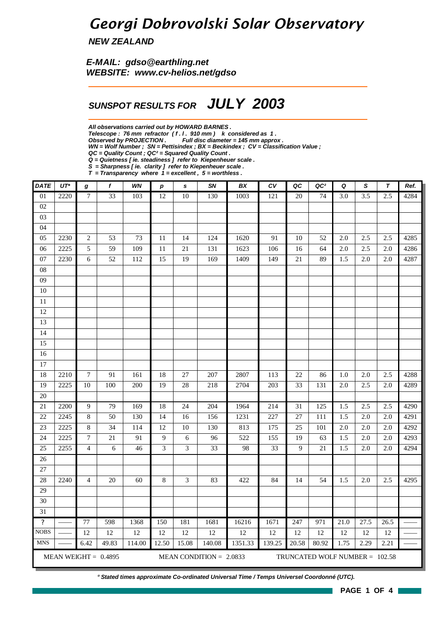## *Georgi Dobrovolski Solar Observatory*

*NEW ZEALAND*

*E-MAIL: gdso@earthling.net WEBSITE: www.cv-helios.net/gdso*

### *SUNSPOT RESULTS FOR JULY 2003*

*All observations carried out by HOWARD BARNES .*

*Telescope : 76 mm refractor ( f . l . 910 mm ) k considered as 1 .*

*Observed by PROJECTION . Full disc diameter = 145 mm approx .*

*WN = Wolf Number ; SN = Pettisindex ; BX = Beckindex ; CV = Classification Value ;*

*QC = Quality Count ; QC² = Squared Quality Count .*

*Q = Quietness [ ie. steadiness ] refer to Kiepenheuer scale .*

*S = Sharpness [ ie. clarity ] refer to Kiepenheuer scale . T = Transparency where 1 = excellent , 5 = worthless .*

| <b>DATE</b>     | $UT^*$ | g              | f                      | WN     | $\boldsymbol{p}$ | s     | SN                        | BX      | $c_{V}$   | QC      | QC <sup>2</sup> | Q          | S                                | $\tau$  | Ref. |  |  |  |  |
|-----------------|--------|----------------|------------------------|--------|------------------|-------|---------------------------|---------|-----------|---------|-----------------|------------|----------------------------------|---------|------|--|--|--|--|
| $\overline{01}$ | 2220   | $\tau$         | $\overline{33}$        | 103    | 12               | 10    | 130                       | 1003    | 121       | 20      | 74              | 3.0        | 3.5                              | 2.5     | 4284 |  |  |  |  |
| $02\,$          |        |                |                        |        |                  |       |                           |         |           |         |                 |            |                                  |         |      |  |  |  |  |
| 03              |        |                |                        |        |                  |       |                           |         |           |         |                 |            |                                  |         |      |  |  |  |  |
| 04              |        |                |                        |        |                  |       |                           |         |           |         |                 |            |                                  |         |      |  |  |  |  |
| 05              | 2230   | 2              | 53                     | 73     | 11               | 14    | 124                       | 1620    | 91        | 10      | 52              | 2.0        | 2.5                              | 2.5     | 4285 |  |  |  |  |
| 06              | 2225   | 5              | 59                     | 109    | 11               | 21    | 131                       | 1623    | 106       | 16      | 64              | 2.0        | 2.5                              | 2.0     | 4286 |  |  |  |  |
| 07              | 2230   | 6              | 52                     | 112    | 15               | 19    | 169                       | 1409    | 149       | 21      | 89              | 1.5        | $2.0\,$                          | $2.0\,$ | 4287 |  |  |  |  |
| ${\bf 08}$      |        |                |                        |        |                  |       |                           |         |           |         |                 |            |                                  |         |      |  |  |  |  |
| $09\,$          |        |                |                        |        |                  |       |                           |         |           |         |                 |            |                                  |         |      |  |  |  |  |
| $10\,$          |        |                |                        |        |                  |       |                           |         |           |         |                 |            |                                  |         |      |  |  |  |  |
| $11\,$          |        |                |                        |        |                  |       |                           |         |           |         |                 |            |                                  |         |      |  |  |  |  |
| $12\,$          |        |                |                        |        |                  |       |                           |         |           |         |                 |            |                                  |         |      |  |  |  |  |
| 13              |        |                |                        |        |                  |       |                           |         |           |         |                 |            |                                  |         |      |  |  |  |  |
| 14              |        |                |                        |        |                  |       |                           |         |           |         |                 |            |                                  |         |      |  |  |  |  |
| 15              |        |                |                        |        |                  |       |                           |         |           |         |                 |            |                                  |         |      |  |  |  |  |
| 16              |        |                |                        |        |                  |       |                           |         |           |         |                 |            |                                  |         |      |  |  |  |  |
| $17\,$          |        |                |                        |        |                  |       |                           |         |           |         |                 |            |                                  |         |      |  |  |  |  |
| 18              | 2210   | 7              | 91                     | 161    | 18               | 27    | 207                       | 2807    | 113       | 22      | 86              | 1.0        | 2.0                              | 2.5     | 4288 |  |  |  |  |
| 19              | 2225   | $10\,$         | 100                    | 200    | 19               | 28    | 218                       | 2704    | 203       | 33      | 131             | 2.0        | 2.5                              | $2.0\,$ | 4289 |  |  |  |  |
| $20\,$          |        |                |                        |        |                  |       |                           |         |           |         |                 |            |                                  |         |      |  |  |  |  |
| 21              | 2200   | 9              | 79                     | 169    | 18               | 24    | 204                       | 1964    | 214       | 31      | 125             | 1.5        | 2.5                              | 2.5     | 4290 |  |  |  |  |
| $22\,$          | 2245   | 8              | 50                     | 130    | 14               | 16    | 156                       | 1231    | 227       | $27\,$  | 111             | 1.5        | 2.0                              | 2.0     | 4291 |  |  |  |  |
| 23              | 2225   | 8              | 34                     | 114    | 12               | 10    | 130                       | 813     | 175       | 25      | 101             | 2.0        | 2.0                              | 2.0     | 4292 |  |  |  |  |
| $24\,$<br>25    | 2225   | $\tau$         | 21                     | 91     | 9<br>3           | 6     | 96<br>33                  | 522     | 155<br>33 | 19<br>9 | 63<br>21        | 1.5<br>1.5 | 2.0<br>2.0                       | 2.0     | 4293 |  |  |  |  |
| $26\,$          | 2255   | $\overline{4}$ | 6                      | 46     |                  | 3     |                           | 98      |           |         |                 |            |                                  | 2.0     | 4294 |  |  |  |  |
| $27\,$          |        |                |                        |        |                  |       |                           |         |           |         |                 |            |                                  |         |      |  |  |  |  |
| $28\,$          | 2240   | 4              | 20                     | 60     | $\,8\,$          | 3     | 83                        | 422     | 84        | 14      | 54              | 1.5        | $2.0\,$                          | 2.5     | 4295 |  |  |  |  |
| $29\,$          |        |                |                        |        |                  |       |                           |         |           |         |                 |            |                                  |         |      |  |  |  |  |
| 30              |        |                |                        |        |                  |       |                           |         |           |         |                 |            |                                  |         |      |  |  |  |  |
| 31              |        |                |                        |        |                  |       |                           |         |           |         |                 |            |                                  |         |      |  |  |  |  |
| $\mathbf{?}$    |        | 77             | 598                    | 1368   | 150              | 181   | 1681                      | 16216   | 1671      | 247     | 971             | 21.0       | 27.5                             | 26.5    |      |  |  |  |  |
| <b>NOBS</b>     |        | 12             | 12                     | 12     | 12               | 12    | 12                        | 12      | 12        | 12      | 12              | 12         | 12                               | 12      |      |  |  |  |  |
| <b>MNS</b>      |        | 6.42           | 49.83                  | 114.00 | 12.50            | 15.08 | 140.08                    | 1351.33 | 139.25    | 20.58   | 80.92           | 1.75       | 2.29                             | 2.21    |      |  |  |  |  |
|                 |        |                | MEAN WEIGHT = $0.4895$ |        |                  |       | MEAN CONDITION = $2.0833$ |         |           |         |                 |            | TRUNCATED WOLF NUMBER = $102.58$ |         |      |  |  |  |  |

*\* Stated times approximate Co-ordinated Universal Time / Temps Universel Coordonné (UTC).*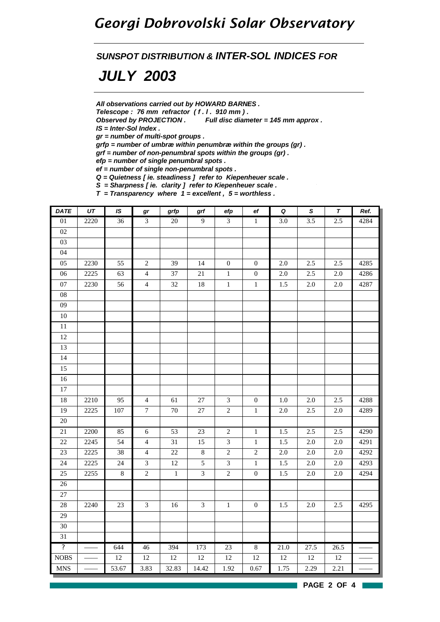### *Georgi Dobrovolski Solar Observatory*

*SUNSPOT DISTRIBUTION & INTER-SOL INDICES FOR*

## *JULY 2003*

*All observations carried out by HOWARD BARNES .*

*Telescope : 76 mm refractor ( f . l . 910 mm ) .*

*Observed by PROJECTION . Full disc diameter = 145 mm approx .*

*IS = Inter-Sol Index .*

*gr = number of multi-spot groups .*

*grfp = number of umbræ within penumbræ within the groups (gr) .*

*grf = number of non-penumbral spots within the groups (gr) .*

*efp = number of single penumbral spots .*

*ef = number of single non-penumbral spots .*

*Q = Quietness [ ie. steadiness ] refer to Kiepenheuer scale .*

*S = Sharpness [ ie. clarity ] refer to Kiepenheuer scale .*

*T = Transparency where 1 = excellent , 5 = worthless .*

| <b>DATE</b>             | UT   | IS      | gr             | grfp    | grf            | efp                         | ef               | $\pmb Q$ | $\pmb{\mathsf{s}}$ | $\pmb{\tau}$ | Ref. |
|-------------------------|------|---------|----------------|---------|----------------|-----------------------------|------------------|----------|--------------------|--------------|------|
| $0 \\ 1$                | 2220 | 36      | $\overline{3}$ | $20\,$  | $\mathbf{9}$   | $\overline{3}$              | $\mathbf{1}$     | 3.0      | 3.5                | 2.5          | 4284 |
| 02                      |      |         |                |         |                |                             |                  |          |                    |              |      |
| 03                      |      |         |                |         |                |                             |                  |          |                    |              |      |
| 04                      |      |         |                |         |                |                             |                  |          |                    |              |      |
| 05                      | 2230 | 55      | $\sqrt{2}$     | 39      | 14             | $\mathbf{0}$                | $\boldsymbol{0}$ | $2.0\,$  | 2.5                | 2.5          | 4285 |
| 06                      | 2225 | 63      | $\overline{4}$ | 37      | 21             | $\,1\,$                     | $\boldsymbol{0}$ | $2.0\,$  | 2.5                | $2.0\,$      | 4286 |
| $07\,$                  | 2230 | 56      | $\overline{4}$ | 32      | $18\,$         | $\,1\,$                     | $\,1\,$          | 1.5      | $2.0\,$            | $2.0\,$      | 4287 |
| ${\bf 08}$              |      |         |                |         |                |                             |                  |          |                    |              |      |
| $09\,$                  |      |         |                |         |                |                             |                  |          |                    |              |      |
| $10\,$                  |      |         |                |         |                |                             |                  |          |                    |              |      |
| $\overline{11}$         |      |         |                |         |                |                             |                  |          |                    |              |      |
| 12                      |      |         |                |         |                |                             |                  |          |                    |              |      |
| 13                      |      |         |                |         |                |                             |                  |          |                    |              |      |
| $\overline{14}$         |      |         |                |         |                |                             |                  |          |                    |              |      |
| 15                      |      |         |                |         |                |                             |                  |          |                    |              |      |
| 16                      |      |         |                |         |                |                             |                  |          |                    |              |      |
| $\overline{17}$         |      |         |                |         |                |                             |                  |          |                    |              |      |
| 18                      | 2210 | 95      | $\overline{4}$ | 61      | $27\,$         | $\ensuremath{\mathfrak{Z}}$ | $\boldsymbol{0}$ | 1.0      | 2.0                | 2.5          | 4288 |
| 19                      | 2225 | 107     | $\tau$         | $70\,$  | $27\,$         | $\sqrt{2}$                  | $1\,$            | $2.0\,$  | 2.5                | $2.0\,$      | 4289 |
| 20                      |      |         |                |         |                |                             |                  |          |                    |              |      |
| 21                      | 2200 | 85      | $\sqrt{6}$     | 53      | 23             | $\sqrt{2}$                  | $\mathbf{1}$     | 1.5      | 2.5                | 2.5          | 4290 |
| $22\,$                  | 2245 | 54      | $\overline{4}$ | 31      | 15             | $\ensuremath{\mathfrak{Z}}$ | $\mathbf{1}$     | $1.5\,$  | $2.0\,$            | $2.0\,$      | 4291 |
| 23                      | 2225 | 38      | $\overline{4}$ | $22\,$  | $\,8$          | $\sqrt{2}$                  | $\sqrt{2}$       | $2.0\,$  | 2.0                | $2.0\,$      | 4292 |
| 24                      | 2225 | 24      | $\mathfrak{Z}$ | $12\,$  | $\sqrt{5}$     | $\ensuremath{\mathfrak{Z}}$ | $\mathbf{1}$     | $1.5\,$  | $2.0\,$            | $2.0\,$      | 4293 |
| 25                      | 2255 | $\,8\,$ | $\sqrt{2}$     | $\,1\,$ | $\mathfrak{Z}$ | $\sqrt{2}$                  | $\boldsymbol{0}$ | $1.5\,$  | $2.0\,$            | $2.0\,$      | 4294 |
| $26\,$                  |      |         |                |         |                |                             |                  |          |                    |              |      |
| 27                      |      |         |                |         |                |                             |                  |          |                    |              |      |
| 28                      | 2240 | 23      | $\mathfrak{Z}$ | $16\,$  | $\mathfrak{Z}$ | $\,1\,$                     | $\boldsymbol{0}$ | 1.5      | 2.0                | 2.5          | 4295 |
| $\overline{29}$         |      |         |                |         |                |                             |                  |          |                    |              |      |
| 30                      |      |         |                |         |                |                             |                  |          |                    |              |      |
| 31                      |      |         |                |         |                |                             |                  |          |                    |              |      |
| $\overline{\mathbf{?}}$ |      | 644     | 46             | 394     | 173            | 23                          | $\overline{8}$   | 21.0     | 27.5               | 26.5         |      |
| <b>NOBS</b>             |      | 12      | 12             | $12\,$  | $12\,$         | $12\,$                      | 12               | 12       | $12\,$             | $12\,$       |      |
| <b>MNS</b>              |      | 53.67   | 3.83           | 32.83   | 14.42          | 1.92                        | 0.67             | 1.75     | 2.29               | 2.21         |      |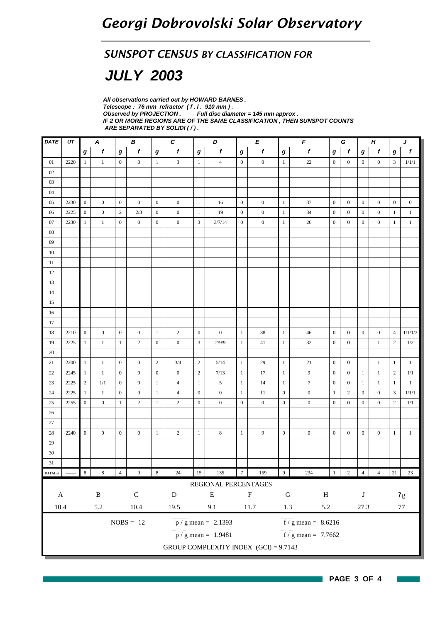#### *SUNSPOT CENSUS BY CLASSIFICATION FOR*

## *JULY 2003*

*All observations carried out by HOWARD BARNES . Telescope : 76 mm refractor ( f . l . 910 mm ) . Full disc diameter = 145 mm approx . IF 2 OR MORE REGIONS ARE OF THE SAME CLASSIFICATION , THEN SUNSPOT COUNTS ARE SEPARATED BY SOLIDI ( / ) .*

| $\pmb{DATE}$  | UT   |                  | A                |                  | B                |                  | $\pmb{C}$        |                  | D                                       |                  | E                |                  | $\pmb{\digamma}$                    |                  | G<br>$\boldsymbol{H}$ |                  |                  |                  | J                       |
|---------------|------|------------------|------------------|------------------|------------------|------------------|------------------|------------------|-----------------------------------------|------------------|------------------|------------------|-------------------------------------|------------------|-----------------------|------------------|------------------|------------------|-------------------------|
|               |      | $\bm{g}$         | $\boldsymbol{f}$ | g                | $\pmb{f}$        | $\bm{g}$         | $\mathbf f$      | $\bm{g}$         | $\pmb{f}$                               | $\boldsymbol{g}$ | f                | $\boldsymbol{g}$ | $\pmb{f}$                           | g                | $\mathbf{f}$          | $\boldsymbol{g}$ | f                | g                | $\boldsymbol{f}$        |
| 01            | 2220 | -1               | $\mathbf{1}$     | $\mathbf{0}$     | $\boldsymbol{0}$ | $\mathbf{1}$     | 3                | $\mathbf{1}$     | $\overline{4}$                          | $\overline{0}$   | $\boldsymbol{0}$ | $\mathbf{1}$     | $22\,$                              | $\overline{0}$   | $\overline{0}$        | $\overline{0}$   | $\boldsymbol{0}$ | 3                | 1/1/1                   |
| 02            |      |                  |                  |                  |                  |                  |                  |                  |                                         |                  |                  |                  |                                     |                  |                       |                  |                  |                  |                         |
| 03            |      |                  |                  |                  |                  |                  |                  |                  |                                         |                  |                  |                  |                                     |                  |                       |                  |                  |                  |                         |
| 04            |      |                  |                  |                  |                  |                  |                  |                  |                                         |                  |                  |                  |                                     |                  |                       |                  |                  |                  |                         |
| 05            | 2230 | $\boldsymbol{0}$ | $\boldsymbol{0}$ | $\mathbf{0}$     | $\overline{0}$   | $\overline{0}$   | $\boldsymbol{0}$ | $\mathbf{1}$     | 16                                      | $\overline{0}$   | $\boldsymbol{0}$ | $\mathbf{1}$     | 37                                  | $\overline{0}$   | $\boldsymbol{0}$      | $\boldsymbol{0}$ | $\boldsymbol{0}$ | $\boldsymbol{0}$ | $\boldsymbol{0}$        |
| 06            | 2225 | $\mathbf{0}$     | $\mathbf{0}$     | $\overline{c}$   | 2/3              | $\boldsymbol{0}$ | $\boldsymbol{0}$ | $\mathbf{1}$     | 19                                      | $\boldsymbol{0}$ | $\boldsymbol{0}$ | $\mathbf{1}$     | 34                                  | $\boldsymbol{0}$ | $\mathbf{0}$          | $\boldsymbol{0}$ | $\boldsymbol{0}$ | $\mathbf{1}$     | $\mathbf{1}$            |
| 07            | 2230 | 1                | $\mathbf{1}$     | $\mathbf{0}$     | $\boldsymbol{0}$ | $\boldsymbol{0}$ | $\boldsymbol{0}$ | 3                | 3/7/14                                  | $\boldsymbol{0}$ | $\boldsymbol{0}$ | 1                | $26\,$                              | $\mathbf{0}$     | $\mathbf{0}$          | $\boldsymbol{0}$ | $\boldsymbol{0}$ | 1                | $\mathbf{1}$            |
| $08\,$        |      |                  |                  |                  |                  |                  |                  |                  |                                         |                  |                  |                  |                                     |                  |                       |                  |                  |                  |                         |
| 09            |      |                  |                  |                  |                  |                  |                  |                  |                                         |                  |                  |                  |                                     |                  |                       |                  |                  |                  |                         |
| 10            |      |                  |                  |                  |                  |                  |                  |                  |                                         |                  |                  |                  |                                     |                  |                       |                  |                  |                  |                         |
| $11\,$        |      |                  |                  |                  |                  |                  |                  |                  |                                         |                  |                  |                  |                                     |                  |                       |                  |                  |                  |                         |
| 12            |      |                  |                  |                  |                  |                  |                  |                  |                                         |                  |                  |                  |                                     |                  |                       |                  |                  |                  |                         |
| 13            |      |                  |                  |                  |                  |                  |                  |                  |                                         |                  |                  |                  |                                     |                  |                       |                  |                  |                  |                         |
| $14\,$        |      |                  |                  |                  |                  |                  |                  |                  |                                         |                  |                  |                  |                                     |                  |                       |                  |                  |                  |                         |
| 15            |      |                  |                  |                  |                  |                  |                  |                  |                                         |                  |                  |                  |                                     |                  |                       |                  |                  |                  |                         |
| 16            |      |                  |                  |                  |                  |                  |                  |                  |                                         |                  |                  |                  |                                     |                  |                       |                  |                  |                  |                         |
| 17            |      |                  |                  |                  |                  |                  |                  |                  |                                         |                  |                  |                  |                                     |                  |                       |                  |                  |                  |                         |
| 18            | 2210 | $\mathbf{0}$     | $\boldsymbol{0}$ | $\mathbf{0}$     | $\mathbf{0}$     | $\,1\,$          | $\mathbf{2}$     | $\boldsymbol{0}$ | $\boldsymbol{0}$                        | $1\,$            | 38               | $\mathbf{1}$     | 46                                  | $\mathbf{0}$     | $\mathbf{0}$          | $\boldsymbol{0}$ | $\boldsymbol{0}$ | $\overline{4}$   | 1/1/1/2                 |
| 19            | 2225 | -1               | $\mathbf{1}$     | -1               | $\overline{c}$   | $\boldsymbol{0}$ | $\boldsymbol{0}$ | $\mathfrak{Z}$   | 2/9/9                                   | $\mathbf{1}$     | 41               | $\mathbf{1}$     | $32\,$                              | $\boldsymbol{0}$ | $\boldsymbol{0}$      | $\mathbf{1}$     | $\mathbf{1}$     | $\mathbf{2}$     | $1/2\,$                 |
| 20            |      |                  |                  |                  |                  |                  |                  |                  |                                         |                  |                  |                  |                                     |                  |                       |                  |                  |                  |                         |
| 21            | 2200 | -1               | $\mathbf{1}$     | $\mathbf{0}$     | $\overline{0}$   | $\overline{2}$   | 3/4              | $\sqrt{2}$       | 5/14                                    | $\mathbf{1}$     | 29               | $\mathbf{1}$     | 21                                  | $\boldsymbol{0}$ | $\mathbf{0}$          | $\mathbf{1}$     | $\mathbf{1}$     | $\mathbf{1}$     | $\mathbf{1}$            |
| 22            | 2245 | -1               | $\mathbf{1}$     | $\boldsymbol{0}$ | $\mathbf{0}$     | $\boldsymbol{0}$ | $\boldsymbol{0}$ | $\sqrt{2}$       | 7/13                                    | $\mathbf{1}$     | 17               | $\mathbf{1}$     | 9                                   | $\mathbf{0}$     | $\mathbf{0}$          | $\mathbf{1}$     | $\mathbf{1}$     | $\sqrt{2}$       | 1/1                     |
| 23            | 2225 | $\overline{c}$   | 1/1              | $\boldsymbol{0}$ | $\boldsymbol{0}$ | $\mathbf{1}$     | $\overline{4}$   | 1                | 5                                       | $\mathbf{1}$     | 14               | -1               | $\boldsymbol{7}$                    | $\mathbf{0}$     | $\boldsymbol{0}$      | $\mathbf{1}$     | $\mathbf{1}$     | $\mathbf{1}$     | $\mathbf{1}$            |
| 24            | 2225 | $\mathbf{1}$     | $\mathbf{1}$     | $\mathbf{0}$     | $\boldsymbol{0}$ | $\mathbf{1}$     | $\overline{4}$   | $\boldsymbol{0}$ | $\boldsymbol{0}$                        | $\mathbf{1}$     | 11               | $\boldsymbol{0}$ | $\boldsymbol{0}$                    | $\mathbf{1}$     | $\overline{c}$        | $\boldsymbol{0}$ | $\boldsymbol{0}$ | 3                | 1/1/1                   |
| 25            | 2255 | $\mathbf{0}$     | $\boldsymbol{0}$ | $\mathbf{1}$     | $\overline{2}$   | $\mathbf{1}$     | $\overline{c}$   | $\boldsymbol{0}$ | $\boldsymbol{0}$                        | $\mathbf{0}$     | $\boldsymbol{0}$ | $\mathbf{0}$     | $\boldsymbol{0}$                    | $\boldsymbol{0}$ | $\mathbf{0}$          | $\boldsymbol{0}$ | $\boldsymbol{0}$ | $\overline{2}$   | 1/1                     |
| 26            |      |                  |                  |                  |                  |                  |                  |                  |                                         |                  |                  |                  |                                     |                  |                       |                  |                  |                  |                         |
| 27            |      |                  |                  |                  |                  |                  |                  |                  |                                         |                  |                  |                  |                                     |                  |                       |                  |                  |                  |                         |
| 28            | 2240 | $\boldsymbol{0}$ | $\boldsymbol{0}$ | $\mathbf{0}$     | $\boldsymbol{0}$ | $\mathbf{1}$     | $\overline{c}$   | $\mathbf{1}$     | $\,$ 8 $\,$                             | $\mathbf{1}$     | 9                | $\boldsymbol{0}$ | $\boldsymbol{0}$                    | $\overline{0}$   | $\boldsymbol{0}$      | $\boldsymbol{0}$ | $\boldsymbol{0}$ | $\mathbf{1}$     | $\mathbf{1}$            |
| 29            |      |                  |                  |                  |                  |                  |                  |                  |                                         |                  |                  |                  |                                     |                  |                       |                  |                  |                  |                         |
| 30            |      |                  |                  |                  |                  |                  |                  |                  |                                         |                  |                  |                  |                                     |                  |                       |                  |                  |                  |                         |
| 31            |      |                  |                  |                  |                  |                  |                  |                  |                                         |                  |                  |                  |                                     |                  |                       |                  |                  |                  |                         |
| <b>TOTALS</b> |      | $\,$ 8 $\,$      | $\,$ 8 $\,$      | $\overline{4}$   | 9                | $\,$ 8 $\,$      | $24\,$           | $15\,$           | 135                                     | $\boldsymbol{7}$ | 159              | 9 <sup>1</sup>   | 234                                 | 1                | $\sqrt{2}$            | $\sqrt{4}$       | $\overline{4}$   | $21\,$           | 23                      |
|               |      |                  |                  |                  |                  |                  |                  |                  | REGIONAL PERCENTAGES                    |                  |                  |                  |                                     |                  |                       |                  |                  |                  |                         |
| $\mathbf A$   |      |                  | $\, {\bf B}$     |                  | ${\bf C}$        |                  | ${\bf D}$        |                  | ${\bf E}$                               |                  | $\mathbf F$      | ${\bf G}$        | $\, {\rm H}$                        |                  |                       | $\bf J$          |                  |                  | $\mathbf{?} \mathrm{g}$ |
| $10.4\,$      |      |                  | 5.2              |                  | 10.4             |                  | 19.5             |                  | 9.1                                     |                  | 11.7             | $1.3\,$          | 5.2                                 |                  |                       | 27.3             |                  |                  | $77\,$                  |
|               |      |                  |                  |                  |                  |                  |                  |                  |                                         |                  |                  |                  |                                     |                  |                       |                  |                  |                  |                         |
|               |      |                  |                  |                  | $NOBS = 12$      |                  |                  |                  | $p / g$ mean = 2.1393                   |                  |                  |                  | $f/g$ mean = 8.6216                 |                  |                       |                  |                  |                  |                         |
|               |      |                  |                  |                  |                  |                  |                  |                  | $\bar{p}$ / g mean = 1.9481             |                  |                  |                  | $\frac{1}{\pi}$ f / g mean = 7.7662 |                  |                       |                  |                  |                  |                         |
|               |      |                  |                  |                  |                  |                  |                  |                  | GROUP COMPLEXITY INDEX $(GCI) = 9.7143$ |                  |                  |                  |                                     |                  |                       |                  |                  |                  |                         |